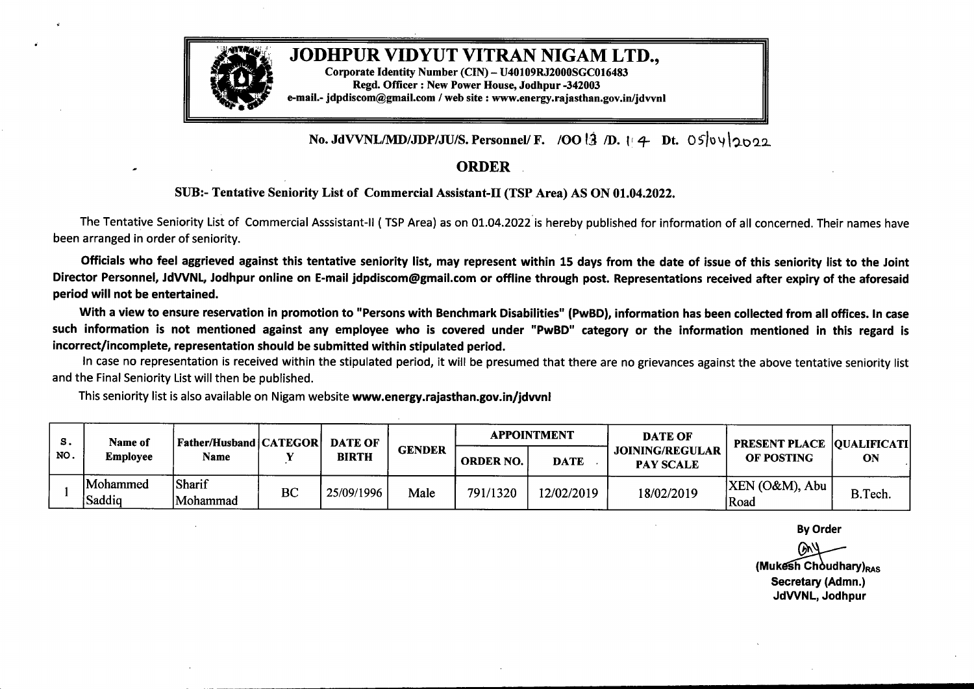

No. JdVVNL/MD/JDP/JU/S. Personnel/ F. /OO  $\frac{13}{2}$  /D.  $\frac{1}{4}$  Dt. 05 0 \less 0 \less 0 2

## ORDER

## SUB:- Tentative Seniority List of Commercial Assistant-II (TSP Area) AS ON 01.04.2022.

The Tentative Seniority List of Commercial Asssistant-11 ( TSP Area) as on 01.04.2022is hereby published for information of all concerned. Their names have been arranged in order of seniority.

Officials who feel aggrieved against this tentative seniority list, may represent within 15 days from the date of issue of this seniority list to the Joint Director Personnel, JdWNL, Jodhpur online on E-mail jdpdiscom@gmail.com or offline through post. Representations received after expiry of the aforesaid period will not be entertained.

With <sup>a</sup> view to ensure reservation in promotion to "Persons with Benchmark Disabilities" **(PwBD),** information has been collected from all offices. In case such information is not mentioned against any employee who is covered under **"PwBD"** category or the information mentioned in this regard is incorrect/incomplete, representation should be submitted within stipulated period.

In case no representation is received within the stipulated period, it will be presumed that there are no grievances against the above tentative seniority list and the Final Seniority List will then be published.

This seniority list is also available on Nigam website www.energy.rajasthan.gov.in/jdwnl

| S.<br>NO. | <b>Name of</b><br><b>Employee</b> | <b>Father/Husband   CATEGOR  </b><br>Name |    | <b>DATE OF</b><br><b>BIRTH</b> | <b>GENDER</b> | <b>APPOINTMENT</b> |             | <b>DATE OF</b>                             | <b>PRESENT PLACE  QUALIFICATI </b> |         |
|-----------|-----------------------------------|-------------------------------------------|----|--------------------------------|---------------|--------------------|-------------|--------------------------------------------|------------------------------------|---------|
|           |                                   |                                           |    |                                |               | <b>ORDER NO.</b>   | <b>DATE</b> | <b>JOINING/REGULAR</b><br><b>PAY SCALE</b> | OF POSTING                         | ON      |
|           | Mohammed<br>Saddiq                | Sharif<br>Mohammad                        | BC | 25/09/1996                     | Male          | 791/1320           | 12/02/2019  | 18/02/2019                                 | $ XEN (O\&M)$ , Abu<br>Road        | B.Tech. |

By Order

(O&M), Abu<br>By Order<br>By Order<br>(Mukesh Choudhary)<sub>RAS</sub><br>Secretary (Admn.) Secretary (Admn.) JdVVNL, Jodhpur